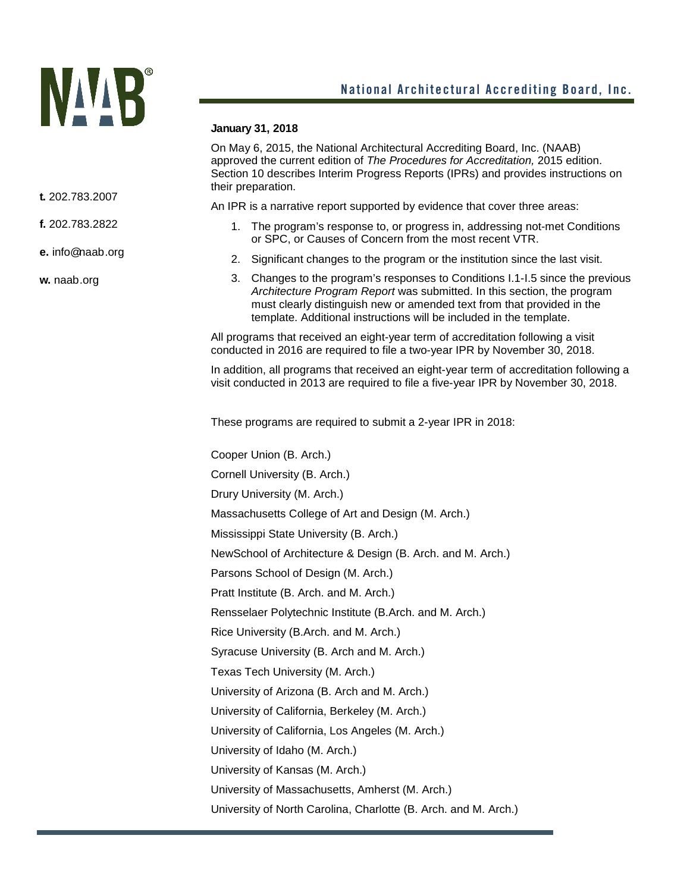## **NAAB**

## **January 31, 2018**

On May 6, 2015, the National Architectural Accrediting Board, Inc. (NAAB) approved the current edition of *The Procedures for Accreditation,* 2015 edition. Section 10 describes Interim Progress Reports (IPRs) and provides instructions on their preparation.

An IPR is a narrative report supported by evidence that cover three areas:

- 1. The program's response to, or progress in, addressing not-met Conditions or SPC, or Causes of Concern from the most recent VTR.
- 2. Significant changes to the program or the institution since the last visit.
- 3. Changes to the program's responses to Conditions I.1-I.5 since the previous *Architecture Program Report* was submitted. In this section, the program must clearly distinguish new or amended text from that provided in the template. Additional instructions will be included in the template.

All programs that received an eight-year term of accreditation following a visit conducted in 2016 are required to file a two-year IPR by November 30, 2018.

In addition, all programs that received an eight-year term of accreditation following a visit conducted in 2013 are required to file a five-year IPR by November 30, 2018.

These programs are required to submit a 2-year IPR in 2018:

Cooper Union (B. Arch.) Cornell University (B. Arch.) Drury University (M. Arch.) Massachusetts College of Art and Design (M. Arch.) Mississippi State University (B. Arch.) NewSchool of Architecture & Design (B. Arch. and M. Arch.) Parsons School of Design (M. Arch.) Pratt Institute (B. Arch. and M. Arch.) Rensselaer Polytechnic Institute (B.Arch. and M. Arch.) Rice University (B.Arch. and M. Arch.) Syracuse University (B. Arch and M. Arch.) Texas Tech University (M. Arch.) University of Arizona (B. Arch and M. Arch.) University of California, Berkeley (M. Arch.) University of California, Los Angeles (M. Arch.) University of Idaho (M. Arch.) University of Kansas (M. Arch.) University of Massachusetts, Amherst (M. Arch.) University of North Carolina, Charlotte (B. Arch. and M. Arch.)

**t.** 202.783.2007

**f.** 202.783.2822

**e.** info@naab.org

**w.** naab.org